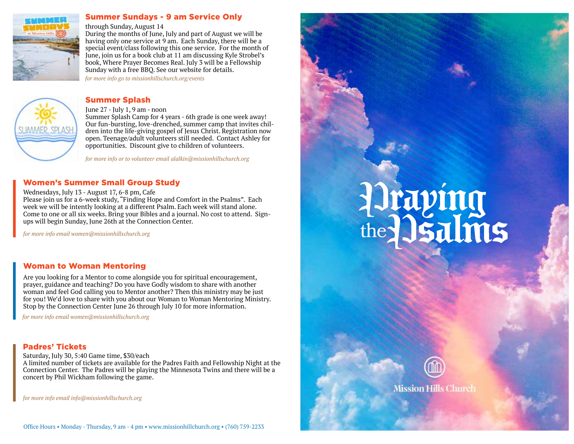

### Summer Sundays - 9 am Service Only

### through Sunday, August 14

During the months of June, July and part of August we will be having only one service at 9 am. Each Sunday, there will be a special event/class following this one service. For the month of June, join us for a book club at 11 am discussing Kyle Strobel's book, Where Prayer Becomes Real. July 3 will be a Fellowship Sunday with a free BBQ. See our website for details.

*for more info go to missionhillschurch.org/events*

### Summer Splash



### June 27 - July 1, 9 am - noon

Summer Splash Camp for 4 years - 6th grade is one week away! Our fun-bursting, love-drenched, summer camp that invites children into the life-giving gospel of Jesus Christ. Registration now open. Teenage/adult volunteers still needed. Contact Ashley for opportunities. Discount give to children of volunteers.

*for more info or to volunteer email alalkin@missionhillschurch.org*

### Women's Summer Small Group Study

Wednesdays, July 13 - August 17, 6-8 pm, Cafe

Please join us for a 6-week study, "Finding Hope and Comfort in the Psalms". Each week we will be intently looking at a different Psalm. Each week will stand alone. Come to one or all six weeks. Bring your Bibles and a journal. No cost to attend. Signups will begin Sunday, June 26th at the Connection Center.

*for more info email women@missionhillschurch.org*

### Woman to Woman Mentoring

Are you looking for a Mentor to come alongside you for spiritual encouragement, prayer, guidance and teaching? Do you have Godly wisdom to share with another woman and feel God calling you to Mentor another? Then this ministry may be just for you! We'd love to share with you about our Woman to Woman Mentoring Ministry. Stop by the Connection Center June 26 through July 10 for more information.

*for more info email women@missionhillschurch.org*

### Padres' Tickets

Saturday, July 30, 5:40 Game time, \$30/each

A limited number of tickets are available for the Padres Faith and Fellowship Night at the Connection Center. The Padres will be playing the Minnesota Twins and there will be a concert by Phil Wickham following the game.

*for more info email info@missionhillschurch.org*

## Pray in g the 2 s alm s



**Mission Hills Church**